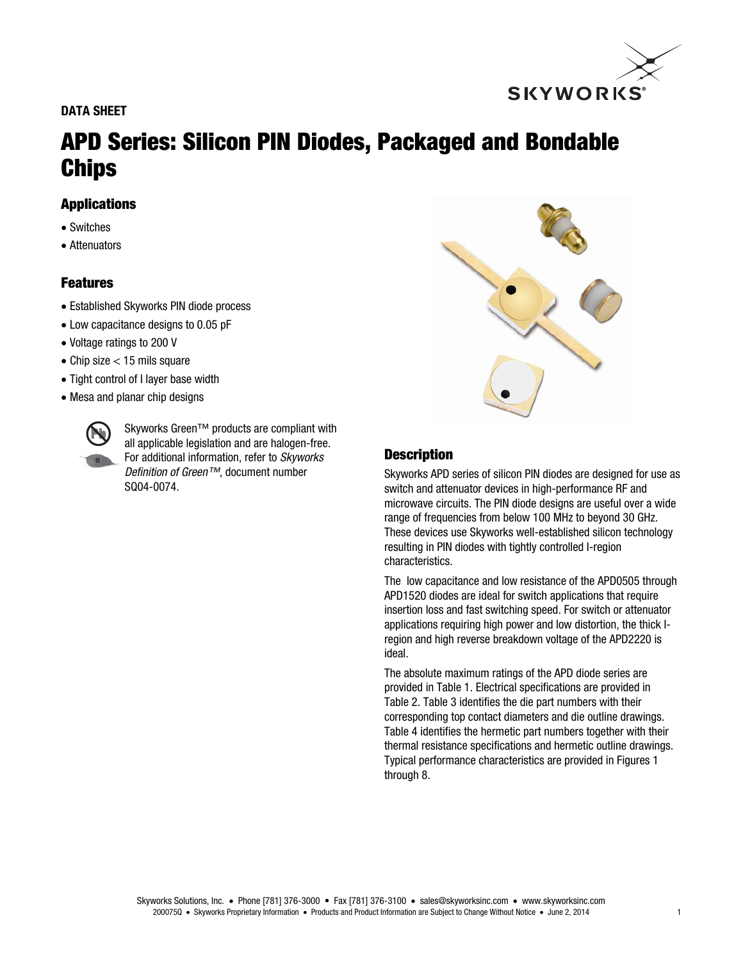## DATA SHEET



# APD Series: Silicon PIN Diodes, Packaged and Bondable Chips

## Applications

- Switches
- Attenuators

# Features

- Established Skyworks PIN diode process
- Low capacitance designs to 0.05 pF
- Voltage ratings to 200 V
- $\bullet$  Chip size  $<$  15 mils square
- Tight control of I layer base width
- Mesa and planar chip designs



Skyworks Green™ products are compliant with all applicable legislation and are halogen-free. For additional information, refer to *Skyworks Definition of Green™*, document number SQ04-0074.



# **Description**

Skyworks APD series of silicon PIN diodes are designed for use as switch and attenuator devices in high-performance RF and microwave circuits. The PIN diode designs are useful over a wide range of frequencies from below 100 MHz to beyond 30 GHz. These devices use Skyworks well-established silicon technology resulting in PIN diodes with tightly controlled I-region characteristics.

The low capacitance and low resistance of the APD0505 through APD1520 diodes are ideal for switch applications that require insertion loss and fast switching speed. For switch or attenuator applications requiring high power and low distortion, the thick Iregion and high reverse breakdown voltage of the APD2220 is ideal.

The absolute maximum ratings of the APD diode series are provided in Table 1. Electrical specifications are provided in Table 2. Table 3 identifies the die part numbers with their corresponding top contact diameters and die outline drawings. Table 4 identifies the hermetic part numbers together with their thermal resistance specifications and hermetic outline drawings. Typical performance characteristics are provided in Figures 1 through 8.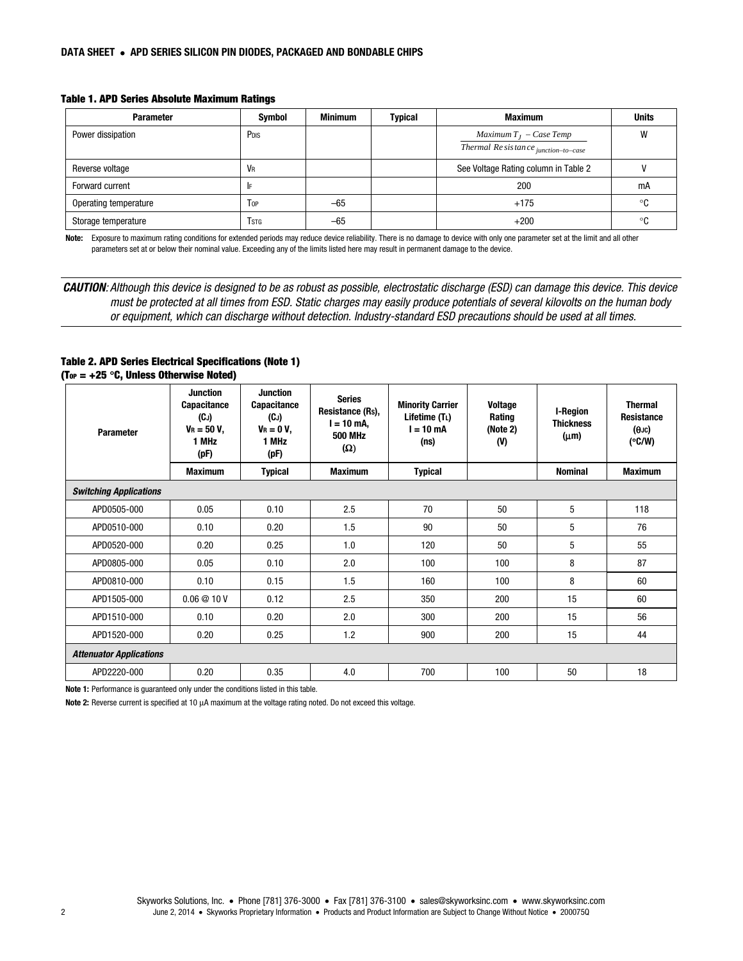#### Table 1. APD Series Absolute Maximum Ratings

| <b>Parameter</b>      | <b>Symbol</b>           | <b>Minimum</b> | <b>Typical</b> | <b>Maximum</b>                                                    | <b>Units</b> |
|-----------------------|-------------------------|----------------|----------------|-------------------------------------------------------------------|--------------|
| Power dissipation     | P <sub>DIS</sub>        |                |                | Maximum $T_I$ – Case Temp<br>Thermal Re sistance junction-to-case | W            |
| Reverse voltage       | VR                      |                |                | See Voltage Rating column in Table 2                              |              |
| Forward current       | IF                      |                |                | 200                                                               | mA           |
| Operating temperature | Top                     | $-65$          |                | $+175$                                                            | °ር           |
| Storage temperature   | <b>T</b> <sub>STG</sub> | $-65$          |                | $+200$                                                            | $\circ$      |

Note: Exposure to maximum rating conditions for extended periods may reduce device reliability. There is no damage to device with only one parameter set at the limit and all other parameters set at or below their nominal value. Exceeding any of the limits listed here may result in permanent damage to the device.

CAUTION*: Although this device is designed to be as robust as possible, electrostatic discharge (ESD) can damage this device. This device must be protected at all times from ESD. Static charges may easily produce potentials of several kilovolts on the human body or equipment, which can discharge without detection. Industry-standard ESD precautions should be used at all times.* 

#### Table 2. APD Series Electrical Specifications (Note 1) (Top =  $+25$  °C, Unless Otherwise Noted)

| <b>Parameter</b>               | <b>Junction</b><br><b>Capacitance</b><br>(CJ)<br>$V_R = 50 V$ ,<br>1 MHz<br>(pF) | <b>Junction</b><br><b>Capacitance</b><br>(CJ)<br>$V_R = 0 V$<br>1 MHz<br>(pF) | <b>Series</b><br>Resistance (Rs),<br>l = 10 mA,<br><b>500 MHz</b><br>$(\Omega)$ | <b>Minority Carrier</b><br>Lifetime (TL)<br>$l = 10$ mA<br>(ns) | <b>Voltage</b><br>Rating<br>(Note 2)<br>(V) | <b>I-Region</b><br><b>Thickness</b><br>$(\mu m)$ | <b>Thermal</b><br><b>Resistance</b><br>$(\theta$ JC)<br>$(^{\circ}C/W)$ |
|--------------------------------|----------------------------------------------------------------------------------|-------------------------------------------------------------------------------|---------------------------------------------------------------------------------|-----------------------------------------------------------------|---------------------------------------------|--------------------------------------------------|-------------------------------------------------------------------------|
|                                | <b>Maximum</b>                                                                   | <b>Typical</b>                                                                | <b>Maximum</b>                                                                  | <b>Typical</b>                                                  |                                             | <b>Nominal</b>                                   | <b>Maximum</b>                                                          |
| <b>Switching Applications</b>  |                                                                                  |                                                                               |                                                                                 |                                                                 |                                             |                                                  |                                                                         |
| APD0505-000                    | 0.05                                                                             | 0.10                                                                          | 2.5                                                                             | 70                                                              | 50                                          | 5                                                | 118                                                                     |
| APD0510-000                    | 0.10                                                                             | 0.20                                                                          | 1.5                                                                             | 90                                                              | 50                                          | 5                                                | 76                                                                      |
| APD0520-000                    | 0.20                                                                             | 0.25                                                                          | 1.0                                                                             | 120                                                             | 50                                          | 5                                                | 55                                                                      |
| APD0805-000                    | 0.05                                                                             | 0.10                                                                          | 2.0                                                                             | 100                                                             | 100                                         | 8                                                | 87                                                                      |
| APD0810-000                    | 0.10                                                                             | 0.15                                                                          | 1.5                                                                             | 160                                                             | 100                                         | 8                                                | 60                                                                      |
| APD1505-000                    | 0.06@10V                                                                         | 0.12                                                                          | 2.5                                                                             | 350                                                             | 200                                         | 15                                               | 60                                                                      |
| APD1510-000                    | 0.10                                                                             | 0.20                                                                          | 2.0                                                                             | 300                                                             | 200                                         | 15                                               | 56                                                                      |
| APD1520-000                    | 0.20                                                                             | 0.25                                                                          | 1.2                                                                             | 900                                                             | 200                                         | 15                                               | 44                                                                      |
| <b>Attenuator Applications</b> |                                                                                  |                                                                               |                                                                                 |                                                                 |                                             |                                                  |                                                                         |
| APD2220-000                    | 0.20                                                                             | 0.35                                                                          | 4.0                                                                             | 700                                                             | 100                                         | 50                                               | 18                                                                      |

Note 1: Performance is guaranteed only under the conditions listed in this table.

Note 2: Reverse current is specified at 10 μA maximum at the voltage rating noted. Do not exceed this voltage.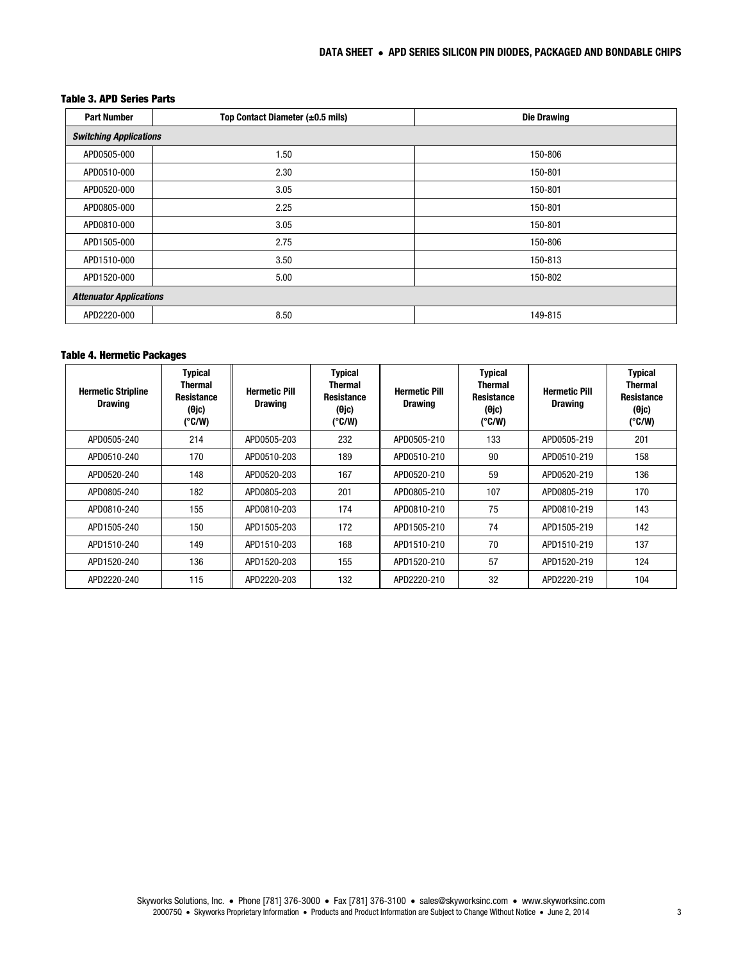### Table 3. APD Series Parts

| <b>Part Number</b>             | Top Contact Diameter (±0.5 mils) | <b>Die Drawing</b> |  |  |  |  |
|--------------------------------|----------------------------------|--------------------|--|--|--|--|
| <b>Switching Applications</b>  |                                  |                    |  |  |  |  |
| APD0505-000                    | 1.50                             | 150-806            |  |  |  |  |
| APD0510-000                    | 2.30                             | 150-801            |  |  |  |  |
| APD0520-000                    | 3.05                             | 150-801            |  |  |  |  |
| APD0805-000                    | 2.25                             | 150-801            |  |  |  |  |
| APD0810-000                    | 3.05                             | 150-801            |  |  |  |  |
| APD1505-000                    | 2.75                             | 150-806            |  |  |  |  |
| APD1510-000                    | 3.50                             | 150-813            |  |  |  |  |
| APD1520-000                    | 5.00                             | 150-802            |  |  |  |  |
| <b>Attenuator Applications</b> |                                  |                    |  |  |  |  |
| APD2220-000                    | 8.50                             | 149-815            |  |  |  |  |

#### Table 4. Hermetic Packages

| <b>Hermetic Stripline</b><br><b>Drawing</b> | <b>Typical</b><br>Thermal<br>Resistance<br>(0jc)<br>$(^{\circ}C/W)$ | <b>Hermetic Pill</b><br><b>Drawing</b> | <b>Typical</b><br>Thermal<br><b>Resistance</b><br>(0jc)<br>$(^{\circ}C/W)$ | <b>Hermetic Pill</b><br><b>Drawing</b> | <b>Typical</b><br><b>Thermal</b><br><b>Resistance</b><br>(0jc)<br>$(^{\circ}C/W)$ | <b>Hermetic Pill</b><br><b>Drawing</b> | <b>Typical</b><br><b>Thermal</b><br><b>Resistance</b><br>(0jc)<br>$(^{\circ}C/W)$ |
|---------------------------------------------|---------------------------------------------------------------------|----------------------------------------|----------------------------------------------------------------------------|----------------------------------------|-----------------------------------------------------------------------------------|----------------------------------------|-----------------------------------------------------------------------------------|
| APD0505-240                                 | 214                                                                 | APD0505-203                            | 232                                                                        | APD0505-210                            | 133                                                                               | APD0505-219                            | 201                                                                               |
| APD0510-240                                 | 170                                                                 | APD0510-203                            | 189                                                                        | APD0510-210                            | 90                                                                                | APD0510-219                            | 158                                                                               |
| APD0520-240                                 | 148                                                                 | APD0520-203                            | 167                                                                        | APD0520-210                            | 59                                                                                | APD0520-219                            | 136                                                                               |
| APD0805-240                                 | 182                                                                 | APD0805-203                            | 201                                                                        | APD0805-210                            | 107                                                                               | APD0805-219                            | 170                                                                               |
| APD0810-240                                 | 155                                                                 | APD0810-203                            | 174                                                                        | APD0810-210                            | 75                                                                                | APD0810-219                            | 143                                                                               |
| APD1505-240                                 | 150                                                                 | APD1505-203                            | 172                                                                        | APD1505-210                            | 74                                                                                | APD1505-219                            | 142                                                                               |
| APD1510-240                                 | 149                                                                 | APD1510-203                            | 168                                                                        | APD1510-210                            | 70                                                                                | APD1510-219                            | 137                                                                               |
| APD1520-240                                 | 136                                                                 | APD1520-203                            | 155                                                                        | APD1520-210                            | 57                                                                                | APD1520-219                            | 124                                                                               |
| APD2220-240                                 | 115                                                                 | APD2220-203                            | 132                                                                        | APD2220-210                            | 32                                                                                | APD2220-219                            | 104                                                                               |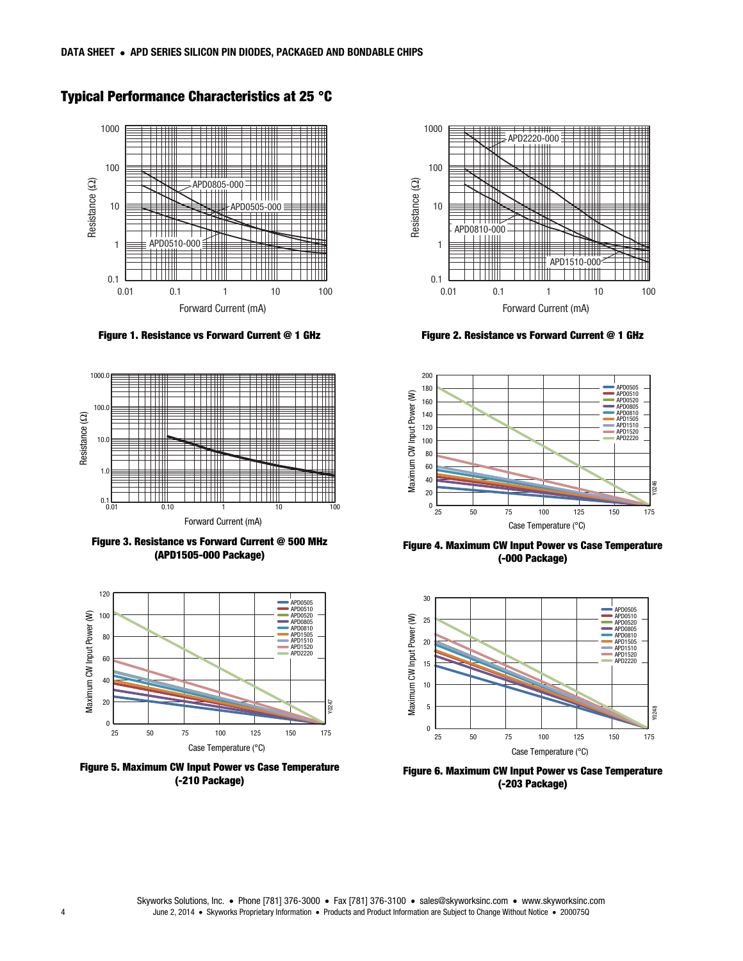

# Typical Performance Characteristics at 25 °C

Figure 1. Resistance vs Forward Current @ 1 GHz



Figure 3. Resistance vs Forward Current @ 500 MHz (APD1505-000 Package)



Figure 5. Maximum CW Input Power vs Case Temperature (-210 Package)



Figure 2. Resistance vs Forward Current @ 1 GHz



Figure 4. Maximum CW Input Power vs Case Temperature (-000 Package)



Figure 6. Maximum CW Input Power vs Case Temperature (-203 Package)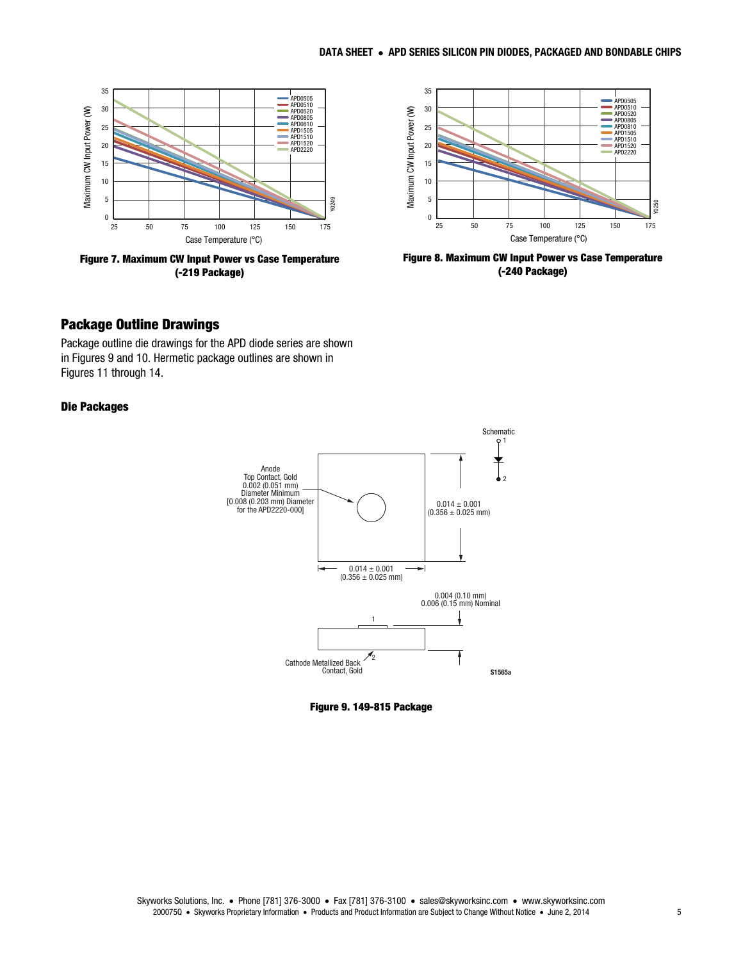

Figure 7. Maximum CW Input Power vs Case Temperature (-219 Package)



Figure 8. Maximum CW Input Power vs Case Temperature (-240 Package)

## Package Outline Drawings

Package outline die drawings for the APD diode series are shown in Figures 9 and 10. Hermetic package outlines are shown in Figures 11 through 14.

### Die Packages



Figure 9. 149-815 Package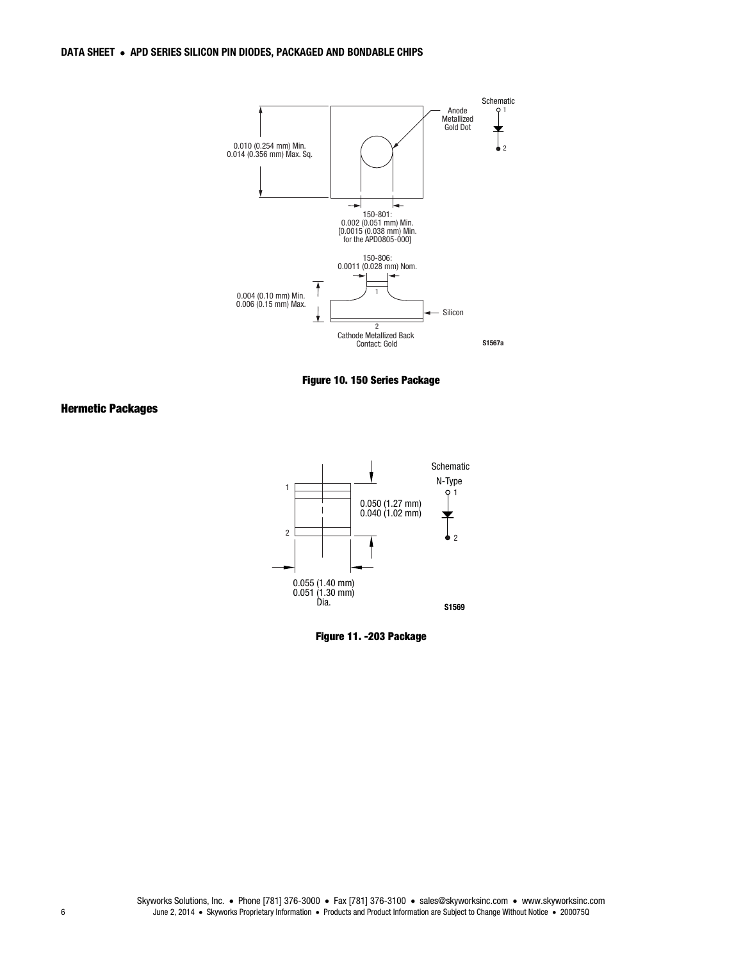

Figure 10. 150 Series Package

#### Hermetic Packages



Figure 11. -203 Package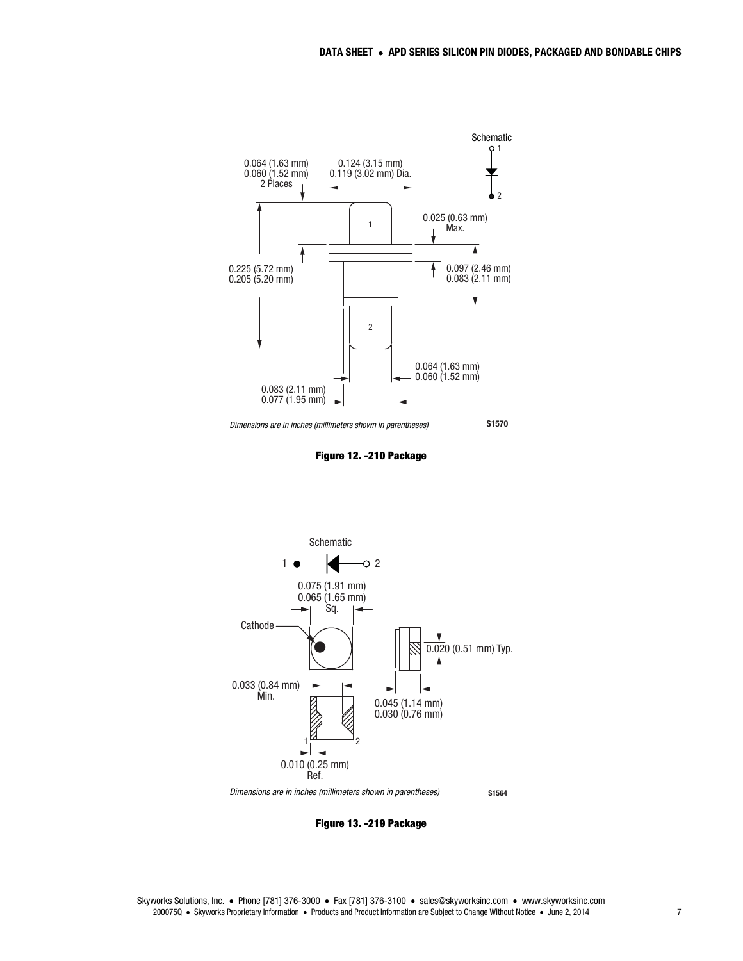



Figure 12. -210 Package



Figure 13. -219 Package